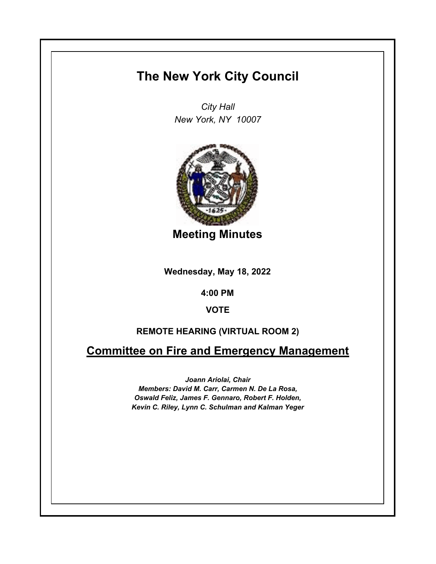## **The New York City Council**

*City Hall New York, NY 10007*



**Meeting Minutes**

**Wednesday, May 18, 2022**

**4:00 PM**

**VOTE**

## **REMOTE HEARING (VIRTUAL ROOM 2)**

**Committee on Fire and Emergency Management**

*Joann Ariolai, Chair Members: David M. Carr, Carmen N. De La Rosa, Oswald Feliz, James F. Gennaro, Robert F. Holden, Kevin C. Riley, Lynn C. Schulman and Kalman Yeger*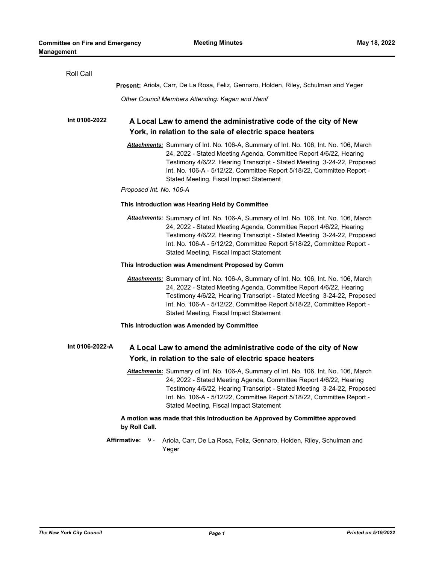| Roll Call                                                                                   |                                                                                                                                                                                                                                                                                                                                                            |  |
|---------------------------------------------------------------------------------------------|------------------------------------------------------------------------------------------------------------------------------------------------------------------------------------------------------------------------------------------------------------------------------------------------------------------------------------------------------------|--|
|                                                                                             | Present: Ariola, Carr, De La Rosa, Feliz, Gennaro, Holden, Riley, Schulman and Yeger                                                                                                                                                                                                                                                                       |  |
|                                                                                             | Other Council Members Attending: Kagan and Hanif                                                                                                                                                                                                                                                                                                           |  |
| Int 0106-2022                                                                               | A Local Law to amend the administrative code of the city of New<br>York, in relation to the sale of electric space heaters                                                                                                                                                                                                                                 |  |
|                                                                                             | Attachments: Summary of Int. No. 106-A, Summary of Int. No. 106, Int. No. 106, March<br>24, 2022 - Stated Meeting Agenda, Committee Report 4/6/22, Hearing<br>Testimony 4/6/22, Hearing Transcript - Stated Meeting 3-24-22, Proposed<br>Int. No. 106-A - 5/12/22, Committee Report 5/18/22, Committee Report -<br>Stated Meeting, Fiscal Impact Statement |  |
|                                                                                             | Proposed Int. No. 106-A                                                                                                                                                                                                                                                                                                                                    |  |
|                                                                                             | This Introduction was Hearing Held by Committee                                                                                                                                                                                                                                                                                                            |  |
|                                                                                             | Attachments: Summary of Int. No. 106-A, Summary of Int. No. 106, Int. No. 106, March<br>24, 2022 - Stated Meeting Agenda, Committee Report 4/6/22, Hearing<br>Testimony 4/6/22, Hearing Transcript - Stated Meeting 3-24-22, Proposed<br>Int. No. 106-A - 5/12/22, Committee Report 5/18/22, Committee Report -<br>Stated Meeting, Fiscal Impact Statement |  |
|                                                                                             | This Introduction was Amendment Proposed by Comm                                                                                                                                                                                                                                                                                                           |  |
|                                                                                             | Attachments: Summary of Int. No. 106-A, Summary of Int. No. 106, Int. No. 106, March<br>24, 2022 - Stated Meeting Agenda, Committee Report 4/6/22, Hearing<br>Testimony 4/6/22, Hearing Transcript - Stated Meeting 3-24-22, Proposed<br>Int. No. 106-A - 5/12/22, Committee Report 5/18/22, Committee Report -<br>Stated Meeting, Fiscal Impact Statement |  |
|                                                                                             | This Introduction was Amended by Committee                                                                                                                                                                                                                                                                                                                 |  |
| Int 0106-2022-A                                                                             | A Local Law to amend the administrative code of the city of New<br>York, in relation to the sale of electric space heaters                                                                                                                                                                                                                                 |  |
|                                                                                             |                                                                                                                                                                                                                                                                                                                                                            |  |
|                                                                                             | Attachments: Summary of Int. No. 106-A, Summary of Int. No. 106, Int. No. 106, March<br>24, 2022 - Stated Meeting Agenda, Committee Report 4/6/22, Hearing<br>Testimony 4/6/22, Hearing Transcript - Stated Meeting 3-24-22, Proposed<br>Int. No. 106-A - 5/12/22, Committee Report 5/18/22, Committee Report -<br>Stated Meeting, Fiscal Impact Statement |  |
| A motion was made that this Introduction be Approved by Committee approved<br>by Roll Call. |                                                                                                                                                                                                                                                                                                                                                            |  |
|                                                                                             | Affirmative:<br>$9 -$<br>Ariola, Carr, De La Rosa, Feliz, Gennaro, Holden, Riley, Schulman and<br>Yeger                                                                                                                                                                                                                                                    |  |